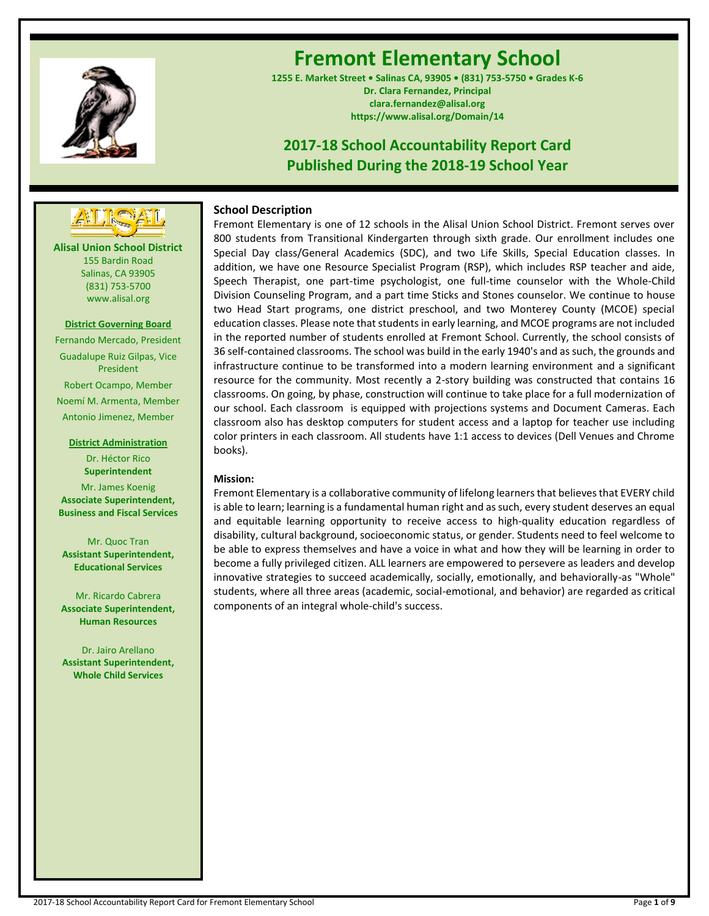

# **Fremont Elementary School**

**1255 E. Market Street • Salinas CA, 93905 • (831) 753-5750 • Grades K-6 Dr. Clara Fernandez, Principal clara.fernandez@alisal.org https://www.alisal.org/Domain/14**

## **2017-18 School Accountability Report Card Published During the 2018-19 School Year**



**Alisal Union School District** 155 Bardin Road Salinas, CA 93905 (831) 753-5700 www.alisal.org

**District Governing Board**

Fernando Mercado, President Guadalupe Ruiz Gilpas, Vice President Robert Ocampo, Member Noemí M. Armenta, Member Antonio Jimenez, Member

#### **District Administration** Dr. Héctor Rico **Superintendent**

Mr. James Koenig **Associate Superintendent, Business and Fiscal Services**

Mr. Quoc Tran **Assistant Superintendent, Educational Services**

Mr. Ricardo Cabrera **Associate Superintendent, Human Resources**

Dr. Jairo Arellano **Assistant Superintendent, Whole Child Services**

## **School Description**

Fremont Elementary is one of 12 schools in the Alisal Union School District. Fremont serves over 800 students from Transitional Kindergarten through sixth grade. Our enrollment includes one Special Day class/General Academics (SDC), and two Life Skills, Special Education classes. In addition, we have one Resource Specialist Program (RSP), which includes RSP teacher and aide, Speech Therapist, one part-time psychologist, one full-time counselor with the Whole-Child Division Counseling Program, and a part time Sticks and Stones counselor. We continue to house two Head Start programs, one district preschool, and two Monterey County (MCOE) special education classes. Please note that students in early learning, and MCOE programs are not included in the reported number of students enrolled at Fremont School. Currently, the school consists of 36 self-contained classrooms. The school was build in the early 1940's and as such, the grounds and infrastructure continue to be transformed into a modern learning environment and a significant resource for the community. Most recently a 2-story building was constructed that contains 16 classrooms. On going, by phase, construction will continue to take place for a full modernization of our school. Each classroom is equipped with projections systems and Document Cameras. Each classroom also has desktop computers for student access and a laptop for teacher use including color printers in each classroom. All students have 1:1 access to devices (Dell Venues and Chrome books).

## **Mission:**

Fremont Elementary is a collaborative community of lifelong learners that believes that EVERY child is able to learn; learning is a fundamental human right and as such, every student deserves an equal and equitable learning opportunity to receive access to high-quality education regardless of disability, cultural background, socioeconomic status, or gender. Students need to feel welcome to be able to express themselves and have a voice in what and how they will be learning in order to become a fully privileged citizen. ALL learners are empowered to persevere as leaders and develop innovative strategies to succeed academically, socially, emotionally, and behaviorally-as "Whole" students, where all three areas (academic, social-emotional, and behavior) are regarded as critical components of an integral whole-child's success.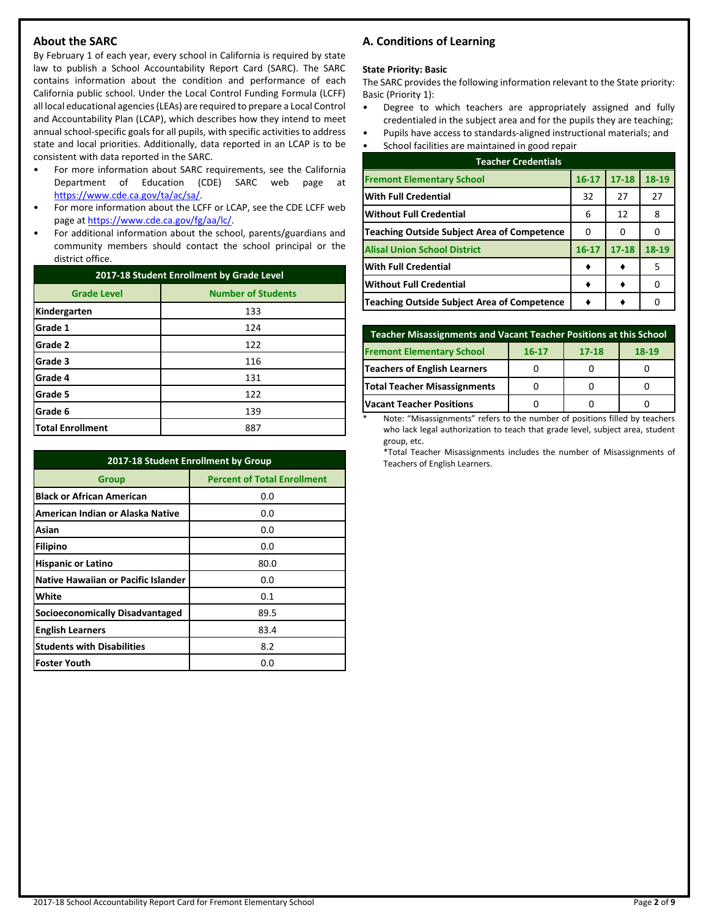## **About the SARC**

By February 1 of each year, every school in California is required by state law to publish a School Accountability Report Card (SARC). The SARC contains information about the condition and performance of each California public school. Under the Local Control Funding Formula (LCFF) all local educational agencies (LEAs) are required to prepare a Local Control and Accountability Plan (LCAP), which describes how they intend to meet annual school-specific goals for all pupils, with specific activities to address state and local priorities. Additionally, data reported in an LCAP is to be consistent with data reported in the SARC.

- For more information about SARC requirements, see the California Department of Education (CDE) SARC web page at [https://www.cde.ca.gov/ta/ac/sa/.](https://www.cde.ca.gov/ta/ac/sa/)
- For more information about the LCFF or LCAP, see the CDE LCFF web page at [https://www.cde.ca.gov/fg/aa/lc/.](https://www.cde.ca.gov/fg/aa/lc/)
- For additional information about the school, parents/guardians and community members should contact the school principal or the district office.

| 2017-18 Student Enrollment by Grade Level |                           |  |  |
|-------------------------------------------|---------------------------|--|--|
| <b>Grade Level</b>                        | <b>Number of Students</b> |  |  |
| Kindergarten                              | 133                       |  |  |
| Grade 1                                   | 124                       |  |  |
| Grade 2                                   | 122                       |  |  |
| <b>Grade 3</b>                            | 116                       |  |  |
| Grade 4                                   | 131                       |  |  |
| Grade 5                                   | 122                       |  |  |
| Grade 6                                   | 139                       |  |  |
| <b>Total Enrollment</b>                   | 887                       |  |  |

| 2017-18 Student Enrollment by Group        |                                    |  |  |  |
|--------------------------------------------|------------------------------------|--|--|--|
| Group                                      | <b>Percent of Total Enrollment</b> |  |  |  |
| <b>Black or African American</b>           | 0.0                                |  |  |  |
| American Indian or Alaska Native           | 0.0                                |  |  |  |
| Asian                                      | 0.0                                |  |  |  |
| Filipino                                   | 0.0                                |  |  |  |
| <b>Hispanic or Latino</b>                  | 80.0                               |  |  |  |
| <b>Native Hawaiian or Pacific Islander</b> | 0.0                                |  |  |  |
| White                                      | 0.1                                |  |  |  |
| <b>Socioeconomically Disadvantaged</b>     | 89.5                               |  |  |  |
| <b>English Learners</b>                    | 83.4                               |  |  |  |
| <b>Students with Disabilities</b>          | 8.2                                |  |  |  |
| <b>Foster Youth</b>                        | 0.0                                |  |  |  |

## **A. Conditions of Learning**

#### **State Priority: Basic**

The SARC provides the following information relevant to the State priority: Basic (Priority 1):

- Degree to which teachers are appropriately assigned and fully credentialed in the subject area and for the pupils they are teaching;
- Pupils have access to standards-aligned instructional materials; and
- School facilities are maintained in good repair

| <b>Teacher Credentials</b>                  |           |           |       |  |  |
|---------------------------------------------|-----------|-----------|-------|--|--|
| <b>Fremont Elementary School</b>            | $16 - 17$ | $17 - 18$ | 18-19 |  |  |
| <b>With Full Credential</b>                 | 32        | 27        | 27    |  |  |
| <b>Without Full Credential</b>              | 6         | 12        | 8     |  |  |
| Teaching Outside Subject Area of Competence | 0         | O         |       |  |  |
| <b>Alisal Union School District</b>         | $16 - 17$ | $17 - 18$ | 18-19 |  |  |
| With Full Credential                        |           |           | 5     |  |  |
| Without Full Credential                     |           |           |       |  |  |
| Teaching Outside Subject Area of Competence |           |           |       |  |  |

| Teacher Misassignments and Vacant Teacher Positions at this School  |  |  |  |  |  |  |  |
|---------------------------------------------------------------------|--|--|--|--|--|--|--|
| <b>Fremont Elementary School</b><br>18-19<br>$17 - 18$<br>$16 - 17$ |  |  |  |  |  |  |  |
| <b>Teachers of English Learners</b>                                 |  |  |  |  |  |  |  |
| Total Teacher Misassignments                                        |  |  |  |  |  |  |  |
| <b>Vacant Teacher Positions</b>                                     |  |  |  |  |  |  |  |

Note: "Misassignments" refers to the number of positions filled by teachers who lack legal authorization to teach that grade level, subject area, student group, etc.

\*Total Teacher Misassignments includes the number of Misassignments of Teachers of English Learners.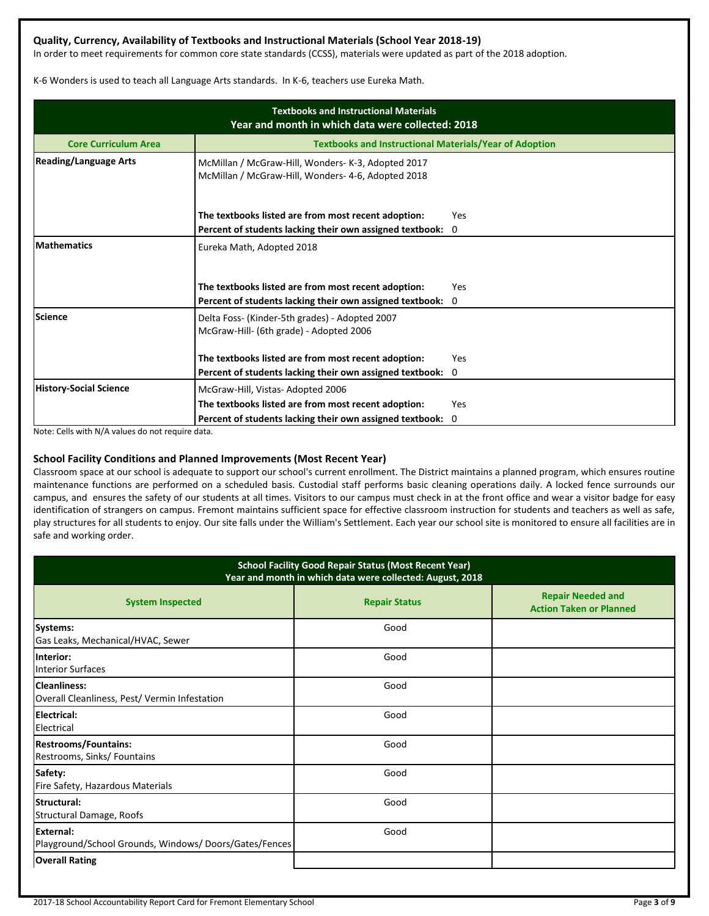## **Quality, Currency, Availability of Textbooks and Instructional Materials (School Year 2018-19)**

In order to meet requirements for common core state standards (CCSS), materials were updated as part of the 2018 adoption.

K-6 Wonders is used to teach all Language Arts standards. In K-6, teachers use Eureka Math.

| <b>Textbooks and Instructional Materials</b><br>Year and month in which data were collected: 2018 |                                                                                                          |             |  |  |  |  |
|---------------------------------------------------------------------------------------------------|----------------------------------------------------------------------------------------------------------|-------------|--|--|--|--|
| <b>Core Curriculum Area</b>                                                                       | <b>Textbooks and Instructional Materials/Year of Adoption</b>                                            |             |  |  |  |  |
| <b>Reading/Language Arts</b>                                                                      | McMillan / McGraw-Hill, Wonders- K-3, Adopted 2017<br>McMillan / McGraw-Hill, Wonders- 4-6, Adopted 2018 |             |  |  |  |  |
|                                                                                                   | The textbooks listed are from most recent adoption:                                                      | Yes         |  |  |  |  |
|                                                                                                   | Percent of students lacking their own assigned textbook: 0                                               |             |  |  |  |  |
| <b>Mathematics</b>                                                                                | Eureka Math, Adopted 2018                                                                                |             |  |  |  |  |
|                                                                                                   | The textbooks listed are from most recent adoption:                                                      | Yes         |  |  |  |  |
|                                                                                                   | Percent of students lacking their own assigned textbook:                                                 | 0           |  |  |  |  |
| <b>Science</b>                                                                                    | Delta Foss- (Kinder-5th grades) - Adopted 2007<br>McGraw-Hill- (6th grade) - Adopted 2006                |             |  |  |  |  |
|                                                                                                   | The textbooks listed are from most recent adoption:                                                      | Yes         |  |  |  |  |
|                                                                                                   | Percent of students lacking their own assigned textbook:                                                 | $\mathbf 0$ |  |  |  |  |
| <b>History-Social Science</b>                                                                     | McGraw-Hill, Vistas-Adopted 2006                                                                         |             |  |  |  |  |
|                                                                                                   | The textbooks listed are from most recent adoption:                                                      | Yes         |  |  |  |  |
|                                                                                                   | Percent of students lacking their own assigned textbook:                                                 | 0           |  |  |  |  |

Note: Cells with N/A values do not require data.

## **School Facility Conditions and Planned Improvements (Most Recent Year)**

Classroom space at our school is adequate to support our school's current enrollment. The District maintains a planned program, which ensures routine maintenance functions are performed on a scheduled basis. Custodial staff performs basic cleaning operations daily. A locked fence surrounds our campus, and ensures the safety of our students at all times. Visitors to our campus must check in at the front office and wear a visitor badge for easy identification of strangers on campus. Fremont maintains sufficient space for effective classroom instruction for students and teachers as well as safe, play structures for all students to enjoy. Our site falls under the William's Settlement. Each year our school site is monitored to ensure all facilities are in safe and working order.

| <b>School Facility Good Repair Status (Most Recent Year)</b><br>Year and month in which data were collected: August, 2018 |                      |                                                            |  |  |  |
|---------------------------------------------------------------------------------------------------------------------------|----------------------|------------------------------------------------------------|--|--|--|
| <b>System Inspected</b>                                                                                                   | <b>Repair Status</b> | <b>Repair Needed and</b><br><b>Action Taken or Planned</b> |  |  |  |
| Systems:<br>Gas Leaks, Mechanical/HVAC, Sewer                                                                             | Good                 |                                                            |  |  |  |
| linterior:<br><b>Interior Surfaces</b>                                                                                    | Good                 |                                                            |  |  |  |
| <b>Cleanliness:</b><br>Overall Cleanliness, Pest/Vermin Infestation                                                       | Good                 |                                                            |  |  |  |
| Electrical:<br>Electrical                                                                                                 | Good                 |                                                            |  |  |  |
| <b>Restrooms/Fountains:</b><br>Restrooms, Sinks/ Fountains                                                                | Good                 |                                                            |  |  |  |
| Safety:<br>Fire Safety, Hazardous Materials                                                                               | Good                 |                                                            |  |  |  |
| Structural:<br>Structural Damage, Roofs                                                                                   | Good                 |                                                            |  |  |  |
| External:<br>Playground/School Grounds, Windows/Doors/Gates/Fences                                                        | Good                 |                                                            |  |  |  |
| <b>Overall Rating</b>                                                                                                     |                      |                                                            |  |  |  |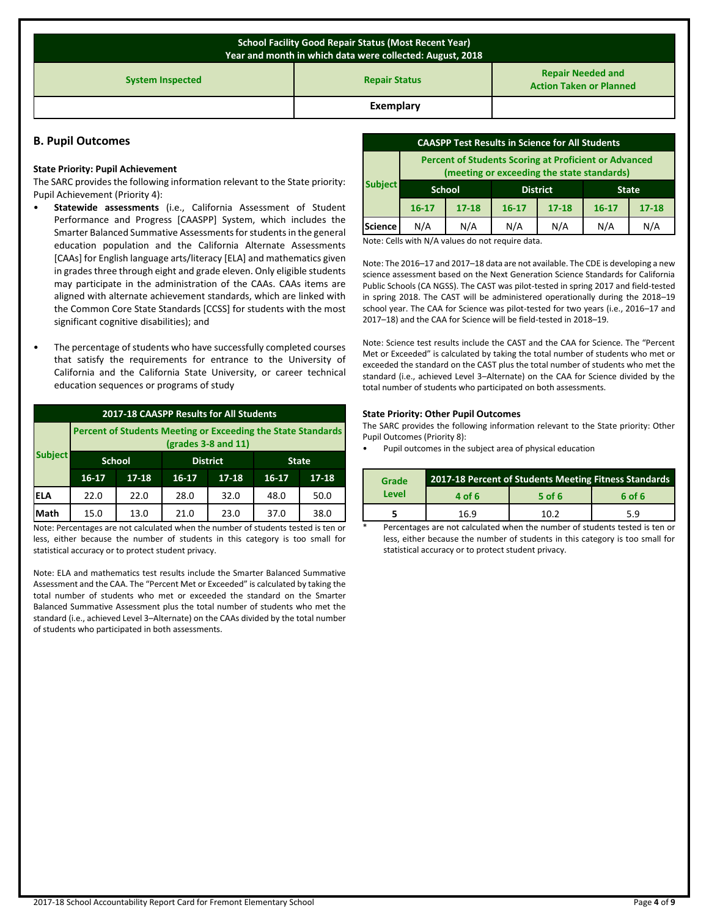| <b>School Facility Good Repair Status (Most Recent Year)</b><br>Year and month in which data were collected: August, 2018 |                                                            |  |  |  |  |
|---------------------------------------------------------------------------------------------------------------------------|------------------------------------------------------------|--|--|--|--|
| <b>System Inspected</b>                                                                                                   | <b>Repair Needed and</b><br><b>Action Taken or Planned</b> |  |  |  |  |
|                                                                                                                           | Exemplary                                                  |  |  |  |  |

#### **B. Pupil Outcomes**

#### **State Priority: Pupil Achievement**

The SARC provides the following information relevant to the State priority: Pupil Achievement (Priority 4):

- **Statewide assessments** (i.e., California Assessment of Student Performance and Progress [CAASPP] System, which includes the Smarter Balanced Summative Assessments for students in the general education population and the California Alternate Assessments [CAAs] for English language arts/literacy [ELA] and mathematics given in grades three through eight and grade eleven. Only eligible students may participate in the administration of the CAAs. CAAs items are aligned with alternate achievement standards, which are linked with the Common Core State Standards [CCSS] for students with the most significant cognitive disabilities); and
- The percentage of students who have successfully completed courses that satisfy the requirements for entrance to the University of California and the California State University, or career technical education sequences or programs of study

| 2017-18 CAASPP Results for All Students |                                                                                                |           |           |                 |           |              |
|-----------------------------------------|------------------------------------------------------------------------------------------------|-----------|-----------|-----------------|-----------|--------------|
|                                         | <b>Percent of Students Meeting or Exceeding the State Standards</b><br>$2$ (grades 3-8 and 11) |           |           |                 |           |              |
| <b>Subject</b>                          | <b>School</b>                                                                                  |           |           | <b>District</b> |           | <b>State</b> |
|                                         | $16 - 17$                                                                                      | $17 - 18$ | $16 - 17$ | $17 - 18$       | $16 - 17$ | $17 - 18$    |
| <b>ELA</b>                              | 22.0                                                                                           | 22.0      | 28.0      | 32.0            | 48.0      | 50.0         |
| Math                                    | 15.0                                                                                           | 13.0      | 21.0      | 23.0            | 37.0      | 38.0         |

Note: Percentages are not calculated when the number of students tested is ten or less, either because the number of students in this category is too small for statistical accuracy or to protect student privacy.

Note: ELA and mathematics test results include the Smarter Balanced Summative Assessment and the CAA. The "Percent Met or Exceeded" is calculated by taking the total number of students who met or exceeded the standard on the Smarter Balanced Summative Assessment plus the total number of students who met the standard (i.e., achieved Level 3–Alternate) on the CAAs divided by the total number of students who participated in both assessments.

| <b>CAASPP Test Results in Science for All Students</b> |                                                                                                            |           |                 |           |              |           |
|--------------------------------------------------------|------------------------------------------------------------------------------------------------------------|-----------|-----------------|-----------|--------------|-----------|
|                                                        | <b>Percent of Students Scoring at Proficient or Advanced</b><br>(meeting or exceeding the state standards) |           |                 |           |              |           |
| <b>Subject</b>                                         | <b>School</b>                                                                                              |           | <b>District</b> |           | <b>State</b> |           |
|                                                        | $16 - 17$                                                                                                  | $17 - 18$ | $16 - 17$       | $17 - 18$ | $16 - 17$    | $17 - 18$ |
| <b>Science</b>                                         | N/A                                                                                                        | N/A       | N/A             | N/A       | N/A          | N/A       |

Note: Cells with N/A values do not require data.

Note: The 2016–17 and 2017–18 data are not available. The CDE is developing a new science assessment based on the Next Generation Science Standards for California Public Schools (CA NGSS). The CAST was pilot-tested in spring 2017 and field-tested in spring 2018. The CAST will be administered operationally during the 2018–19 school year. The CAA for Science was pilot-tested for two years (i.e., 2016–17 and 2017–18) and the CAA for Science will be field-tested in 2018–19.

Note: Science test results include the CAST and the CAA for Science. The "Percent Met or Exceeded" is calculated by taking the total number of students who met or exceeded the standard on the CAST plus the total number of students who met the standard (i.e., achieved Level 3–Alternate) on the CAA for Science divided by the total number of students who participated on both assessments.

#### **State Priority: Other Pupil Outcomes**

The SARC provides the following information relevant to the State priority: Other Pupil Outcomes (Priority 8):

• Pupil outcomes in the subject area of physical education

| Grade | 2017-18 Percent of Students Meeting Fitness Standards |          |        |  |  |
|-------|-------------------------------------------------------|----------|--------|--|--|
| Level | 4 of 6                                                | $5$ of 6 | 6 of 6 |  |  |
|       | 16.9                                                  | 10 2     | 5.9    |  |  |

Percentages are not calculated when the number of students tested is ten or less, either because the number of students in this category is too small for statistical accuracy or to protect student privacy.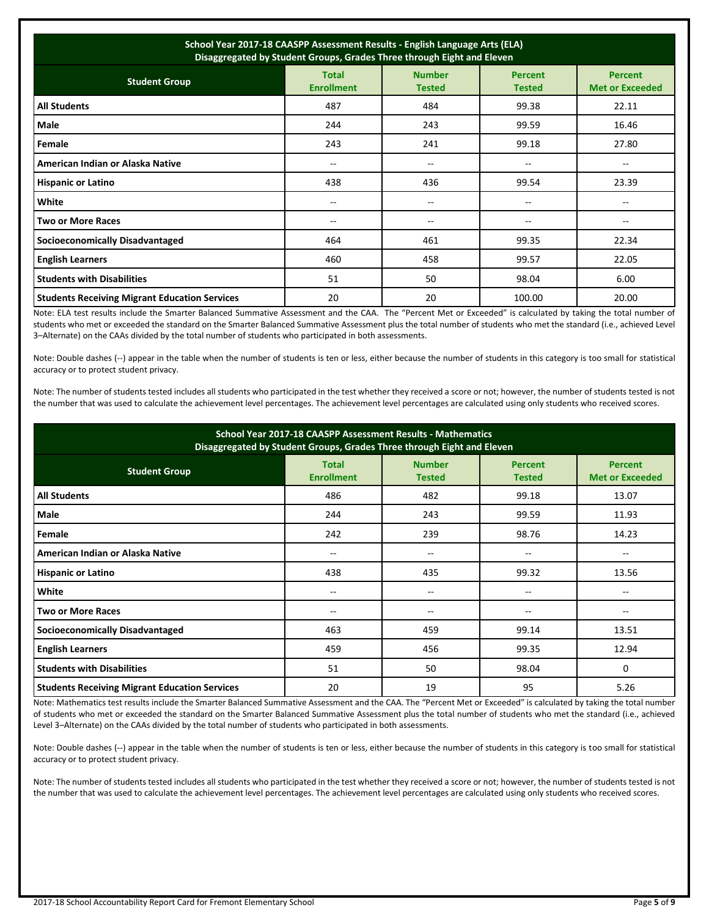| School Year 2017-18 CAASPP Assessment Results - English Language Arts (ELA)<br>Disaggregated by Student Groups, Grades Three through Eight and Eleven |                                   |                                       |                                 |                                          |  |
|-------------------------------------------------------------------------------------------------------------------------------------------------------|-----------------------------------|---------------------------------------|---------------------------------|------------------------------------------|--|
| <b>Student Group</b>                                                                                                                                  | <b>Total</b><br><b>Enrollment</b> | <b>Number</b><br><b>Tested</b>        | <b>Percent</b><br><b>Tested</b> | <b>Percent</b><br><b>Met or Exceeded</b> |  |
| <b>All Students</b>                                                                                                                                   | 487                               | 484                                   | 99.38                           | 22.11                                    |  |
| Male                                                                                                                                                  | 244                               | 243                                   | 99.59                           | 16.46                                    |  |
| Female                                                                                                                                                | 243                               | 241                                   | 99.18                           | 27.80                                    |  |
| American Indian or Alaska Native                                                                                                                      | --                                | $\hspace{0.05cm}$ – $\hspace{0.05cm}$ | --                              |                                          |  |
| <b>Hispanic or Latino</b>                                                                                                                             | 438                               | 436                                   | 99.54                           | 23.39                                    |  |
| White                                                                                                                                                 | $-$                               | $\overline{a}$                        | --                              |                                          |  |
| Two or More Races                                                                                                                                     | $-$                               | $\qquad \qquad -$                     | --                              | $- -$                                    |  |
| <b>Socioeconomically Disadvantaged</b>                                                                                                                | 464                               | 461                                   | 99.35                           | 22.34                                    |  |
| <b>English Learners</b>                                                                                                                               | 460                               | 458                                   | 99.57                           | 22.05                                    |  |
| <b>Students with Disabilities</b>                                                                                                                     | 51                                | 50                                    | 98.04                           | 6.00                                     |  |
| <b>Students Receiving Migrant Education Services</b>                                                                                                  | 20                                | 20                                    | 100.00                          | 20.00                                    |  |

Note: ELA test results include the Smarter Balanced Summative Assessment and the CAA. The "Percent Met or Exceeded" is calculated by taking the total number of students who met or exceeded the standard on the Smarter Balanced Summative Assessment plus the total number of students who met the standard (i.e., achieved Level 3–Alternate) on the CAAs divided by the total number of students who participated in both assessments.

Note: Double dashes (--) appear in the table when the number of students is ten or less, either because the number of students in this category is too small for statistical accuracy or to protect student privacy.

Note: The number of students tested includes all students who participated in the test whether they received a score or not; however, the number of students tested is not the number that was used to calculate the achievement level percentages. The achievement level percentages are calculated using only students who received scores.

| School Year 2017-18 CAASPP Assessment Results - Mathematics<br>Disaggregated by Student Groups, Grades Three through Eight and Eleven                                      |       |       |       |       |  |  |
|----------------------------------------------------------------------------------------------------------------------------------------------------------------------------|-------|-------|-------|-------|--|--|
| <b>Number</b><br><b>Total</b><br><b>Percent</b><br><b>Percent</b><br><b>Student Group</b><br><b>Enrollment</b><br><b>Tested</b><br><b>Met or Exceeded</b><br><b>Tested</b> |       |       |       |       |  |  |
| <b>All Students</b>                                                                                                                                                        | 486   | 482   | 99.18 | 13.07 |  |  |
| Male                                                                                                                                                                       | 244   | 243   | 99.59 | 11.93 |  |  |
| Female                                                                                                                                                                     | 242   | 239   | 98.76 | 14.23 |  |  |
| American Indian or Alaska Native                                                                                                                                           | --    | $- -$ | --    | --    |  |  |
| <b>Hispanic or Latino</b>                                                                                                                                                  | 438   | 435   | 99.32 | 13.56 |  |  |
| White                                                                                                                                                                      | $- -$ | --    | --    | --    |  |  |
| <b>Two or More Races</b>                                                                                                                                                   | --    | --    | --    | --    |  |  |
| <b>Socioeconomically Disadvantaged</b>                                                                                                                                     | 463   | 459   | 99.14 | 13.51 |  |  |
| <b>English Learners</b>                                                                                                                                                    | 459   | 456   | 99.35 | 12.94 |  |  |
| <b>Students with Disabilities</b>                                                                                                                                          | 51    | 50    | 98.04 | 0     |  |  |
| <b>Students Receiving Migrant Education Services</b>                                                                                                                       | 20    | 19    | 95    | 5.26  |  |  |

Note: Mathematics test results include the Smarter Balanced Summative Assessment and the CAA. The "Percent Met or Exceeded" is calculated by taking the total number of students who met or exceeded the standard on the Smarter Balanced Summative Assessment plus the total number of students who met the standard (i.e., achieved Level 3–Alternate) on the CAAs divided by the total number of students who participated in both assessments.

Note: Double dashes (--) appear in the table when the number of students is ten or less, either because the number of students in this category is too small for statistical accuracy or to protect student privacy.

Note: The number of students tested includes all students who participated in the test whether they received a score or not; however, the number of students tested is not the number that was used to calculate the achievement level percentages. The achievement level percentages are calculated using only students who received scores.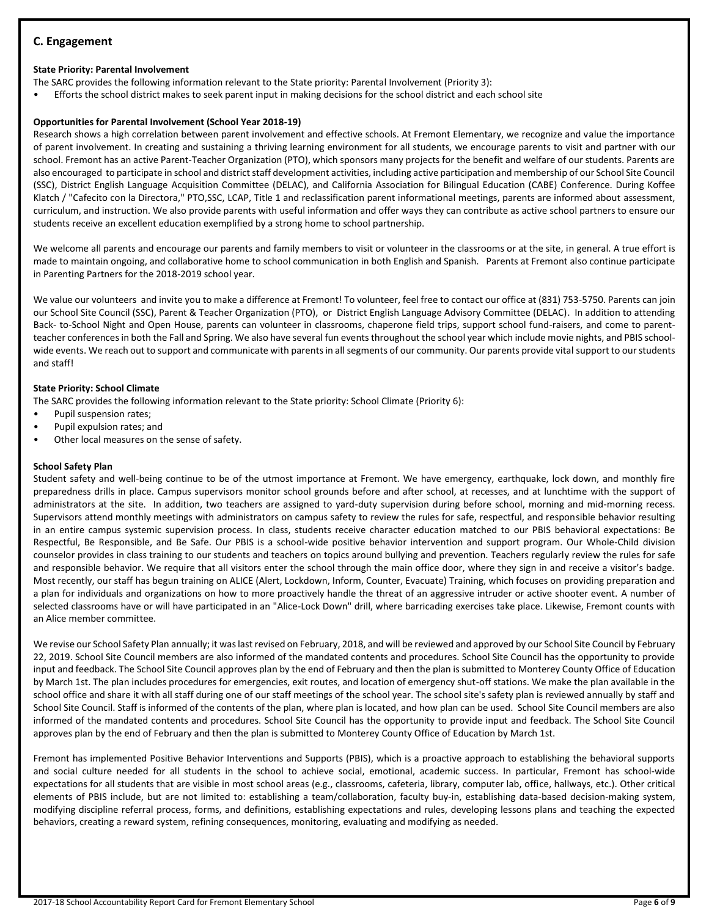## **C. Engagement**

## **State Priority: Parental Involvement**

The SARC provides the following information relevant to the State priority: Parental Involvement (Priority 3):

• Efforts the school district makes to seek parent input in making decisions for the school district and each school site

## **Opportunities for Parental Involvement (School Year 2018-19)**

Research shows a high correlation between parent involvement and effective schools. At Fremont Elementary, we recognize and value the importance of parent involvement. In creating and sustaining a thriving learning environment for all students, we encourage parents to visit and partner with our school. Fremont has an active Parent-Teacher Organization (PTO), which sponsors many projects for the benefit and welfare of our students. Parents are also encouraged to participate in school and district staff development activities, including active participation and membership of our School Site Council (SSC), District English Language Acquisition Committee (DELAC), and California Association for Bilingual Education (CABE) Conference. During Koffee Klatch / "Cafecito con la Directora," PTO,SSC, LCAP, Title 1 and reclassification parent informational meetings, parents are informed about assessment, curriculum, and instruction. We also provide parents with useful information and offer ways they can contribute as active school partners to ensure our students receive an excellent education exemplified by a strong home to school partnership.

We welcome all parents and encourage our parents and family members to visit or volunteer in the classrooms or at the site, in general. A true effort is made to maintain ongoing, and collaborative home to school communication in both English and Spanish. Parents at Fremont also continue participate in Parenting Partners for the 2018-2019 school year.

We value our volunteers and invite you to make a difference at Fremont! To volunteer, feel free to contact our office at (831) 753-5750. Parents can join our School Site Council (SSC), Parent & Teacher Organization (PTO), or District English Language Advisory Committee (DELAC). In addition to attending Back- to-School Night and Open House, parents can volunteer in classrooms, chaperone field trips, support school fund-raisers, and come to parentteacher conferences in both the Fall and Spring. We also have several fun events throughout the school year which include movie nights, and PBIS schoolwide events. We reach out to support and communicate with parents in all segments of our community. Our parents provide vital support to our students and staff!

## **State Priority: School Climate**

The SARC provides the following information relevant to the State priority: School Climate (Priority 6):

- Pupil suspension rates;
- Pupil expulsion rates; and
- Other local measures on the sense of safety.

## **School Safety Plan**

Student safety and well-being continue to be of the utmost importance at Fremont. We have emergency, earthquake, lock down, and monthly fire preparedness drills in place. Campus supervisors monitor school grounds before and after school, at recesses, and at lunchtime with the support of administrators at the site. In addition, two teachers are assigned to yard-duty supervision during before school, morning and mid-morning recess. Supervisors attend monthly meetings with administrators on campus safety to review the rules for safe, respectful, and responsible behavior resulting in an entire campus systemic supervision process. In class, students receive character education matched to our PBIS behavioral expectations: Be Respectful, Be Responsible, and Be Safe. Our PBIS is a school-wide positive behavior intervention and support program. Our Whole-Child division counselor provides in class training to our students and teachers on topics around bullying and prevention. Teachers regularly review the rules for safe and responsible behavior. We require that all visitors enter the school through the main office door, where they sign in and receive a visitor's badge. Most recently, our staff has begun training on ALICE (Alert, Lockdown, Inform, Counter, Evacuate) Training, which focuses on providing preparation and a plan for individuals and organizations on how to more proactively handle the threat of an aggressive intruder or active shooter event. A number of selected classrooms have or will have participated in an "Alice-Lock Down" drill, where barricading exercises take place. Likewise, Fremont counts with an Alice member committee.

We revise our School Safety Plan annually; it was last revised on February, 2018, and will be reviewed and approved by our School Site Council by February 22, 2019. School Site Council members are also informed of the mandated contents and procedures. School Site Council has the opportunity to provide input and feedback. The School Site Council approves plan by the end of February and then the plan is submitted to Monterey County Office of Education by March 1st. The plan includes procedures for emergencies, exit routes, and location of emergency shut-off stations. We make the plan available in the school office and share it with all staff during one of our staff meetings of the school year. The school site's safety plan is reviewed annually by staff and School Site Council. Staff is informed of the contents of the plan, where plan is located, and how plan can be used. School Site Council members are also informed of the mandated contents and procedures. School Site Council has the opportunity to provide input and feedback. The School Site Council approves plan by the end of February and then the plan is submitted to Monterey County Office of Education by March 1st.

Fremont has implemented Positive Behavior Interventions and Supports (PBIS), which is a proactive approach to establishing the behavioral supports and social culture needed for all students in the school to achieve social, emotional, academic success. In particular, Fremont has school-wide expectations for all students that are visible in most school areas (e.g., classrooms, cafeteria, library, computer lab, office, hallways, etc.). Other critical elements of PBIS include, but are not limited to: establishing a team/collaboration, faculty buy-in, establishing data-based decision-making system, modifying discipline referral process, forms, and definitions, establishing expectations and rules, developing lessons plans and teaching the expected behaviors, creating a reward system, refining consequences, monitoring, evaluating and modifying as needed.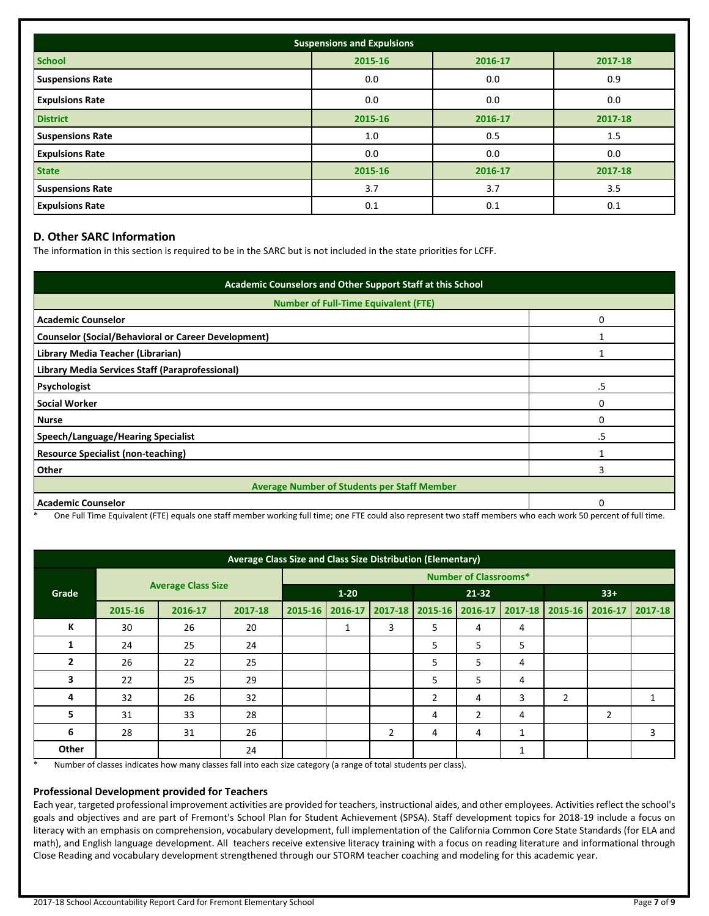| <b>Suspensions and Expulsions</b> |         |         |         |  |  |  |
|-----------------------------------|---------|---------|---------|--|--|--|
| <b>School</b>                     | 2015-16 | 2016-17 | 2017-18 |  |  |  |
| <b>Suspensions Rate</b>           | 0.0     | 0.0     | 0.9     |  |  |  |
| <b>Expulsions Rate</b>            | 0.0     | 0.0     | 0.0     |  |  |  |
| <b>District</b>                   | 2015-16 | 2016-17 | 2017-18 |  |  |  |
| <b>Suspensions Rate</b>           | 1.0     | 0.5     | 1.5     |  |  |  |
| <b>Expulsions Rate</b>            | 0.0     | 0.0     | 0.0     |  |  |  |
| <b>State</b>                      | 2015-16 | 2016-17 | 2017-18 |  |  |  |
| <b>Suspensions Rate</b>           | 3.7     | 3.7     | 3.5     |  |  |  |
| <b>Expulsions Rate</b>            | 0.1     | 0.1     | 0.1     |  |  |  |

## **D. Other SARC Information**

The information in this section is required to be in the SARC but is not included in the state priorities for LCFF.

| Academic Counselors and Other Support Staff at this School |    |  |  |  |
|------------------------------------------------------------|----|--|--|--|
| <b>Number of Full-Time Equivalent (FTE)</b>                |    |  |  |  |
| <b>Academic Counselor</b>                                  | n  |  |  |  |
| <b>Counselor (Social/Behavioral or Career Development)</b> |    |  |  |  |
| Library Media Teacher (Librarian)                          |    |  |  |  |
| Library Media Services Staff (Paraprofessional)            |    |  |  |  |
| Psychologist                                               | .5 |  |  |  |
| <b>Social Worker</b>                                       | O  |  |  |  |
| <b>Nurse</b>                                               | O  |  |  |  |
| Speech/Language/Hearing Specialist                         | .5 |  |  |  |
| <b>Resource Specialist (non-teaching)</b>                  |    |  |  |  |
| Other                                                      | 3  |  |  |  |
| <b>Average Number of Students per Staff Member</b>         |    |  |  |  |
| <b>Academic Counselor</b>                                  | O  |  |  |  |

One Full Time Equivalent (FTE) equals one staff member working full time; one FTE could also represent two staff members who each work 50 percent of full time.

| Average Class Size and Class Size Distribution (Elementary) |                           |         |                              |                   |    |                |                 |       |   |                |                                 |   |
|-------------------------------------------------------------|---------------------------|---------|------------------------------|-------------------|----|----------------|-----------------|-------|---|----------------|---------------------------------|---|
|                                                             |                           |         | <b>Number of Classrooms*</b> |                   |    |                |                 |       |   |                |                                 |   |
| Grade                                                       | <b>Average Class Size</b> |         |                              | $1 - 20$          |    | $21 - 32$      |                 | $33+$ |   |                |                                 |   |
|                                                             | 2015-16                   | 2016-17 | 2017-18                      | 2015-16   2016-17 |    | $ 2017-18 $    | 2015-16 2016-17 |       |   |                | 2017-18 2015-16 2016-17 2017-18 |   |
| К                                                           | 30                        | 26      | 20                           |                   | Ŧ. | 3              | 5               | 4     | 4 |                |                                 |   |
| 1                                                           | 24                        | 25      | 24                           |                   |    |                | 5               | 5     | 5 |                |                                 |   |
| 2                                                           | 26                        | 22      | 25                           |                   |    |                | 5               | 5     | 4 |                |                                 |   |
| 3                                                           | 22                        | 25      | 29                           |                   |    |                | 5               | 5     | 4 |                |                                 |   |
| 4                                                           | 32                        | 26      | 32                           |                   |    |                | 2               | 4     | 3 | $\overline{2}$ |                                 | 1 |
| 5                                                           | 31                        | 33      | 28                           |                   |    |                | 4               | 2     | 4 |                | 2                               |   |
| 6                                                           | 28                        | 31      | 26                           |                   |    | $\overline{2}$ | 4               | 4     | 1 |                |                                 | 3 |
| Other                                                       |                           |         | 24                           |                   |    |                |                 |       |   |                |                                 |   |

\* Number of classes indicates how many classes fall into each size category (a range of total students per class).

#### **Professional Development provided for Teachers**

Each year, targeted professional improvement activities are provided for teachers, instructional aides, and other employees. Activities reflect the school's goals and objectives and are part of Fremont's School Plan for Student Achievement (SPSA). Staff development topics for 2018-19 include a focus on literacy with an emphasis on comprehension, vocabulary development, full implementation of the California Common Core State Standards (for ELA and math), and English language development. All teachers receive extensive literacy training with a focus on reading literature and informational through Close Reading and vocabulary development strengthened through our STORM teacher coaching and modeling for this academic year.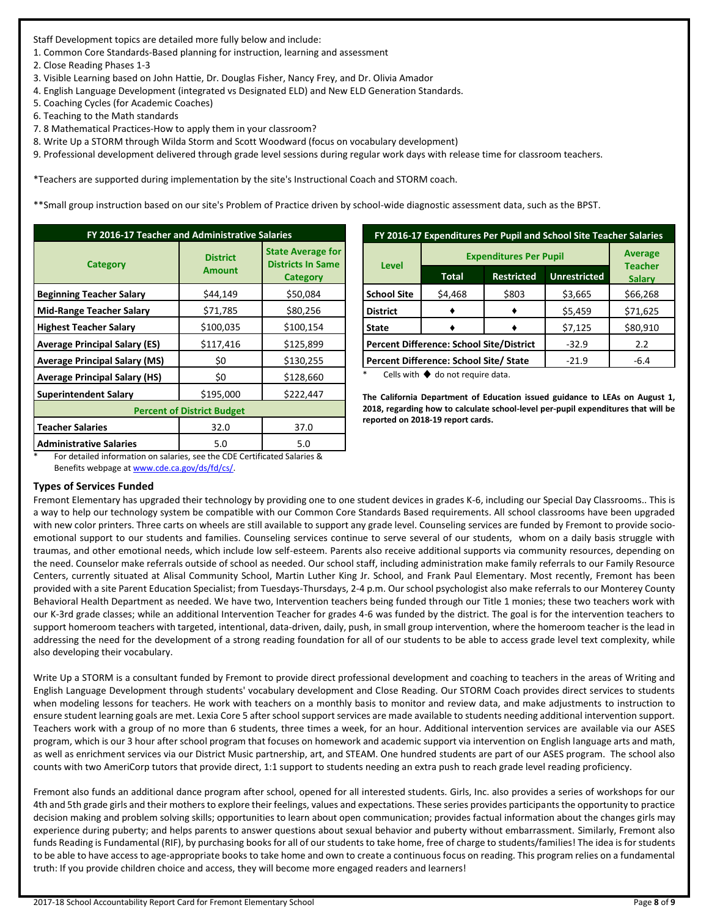Staff Development topics are detailed more fully below and include:

1. Common Core Standards-Based planning for instruction, learning and assessment

2. Close Reading Phases 1-3

- 3. Visible Learning based on John Hattie, Dr. Douglas Fisher, Nancy Frey, and Dr. Olivia Amador
- 4. English Language Development (integrated vs Designated ELD) and New ELD Generation Standards.
- 5. Coaching Cycles (for Academic Coaches)
- 6. Teaching to the Math standards
- 7. 8 Mathematical Practices-How to apply them in your classroom?
- 8. Write Up a STORM through Wilda Storm and Scott Woodward (focus on vocabulary development)
- 9. Professional development delivered through grade level sessions during regular work days with release time for classroom teachers.

\*Teachers are supported during implementation by the site's Instructional Coach and STORM coach.

\*\*Small group instruction based on our site's Problem of Practice driven by school-wide diagnostic assessment data, such as the BPST.

| FY 2016-17 Teacher and Administrative Salaries |                                  |                                                                  |  |  |  |
|------------------------------------------------|----------------------------------|------------------------------------------------------------------|--|--|--|
| <b>Category</b>                                | <b>District</b><br><b>Amount</b> | <b>State Average for</b><br><b>Districts In Same</b><br>Category |  |  |  |
| <b>Beginning Teacher Salary</b>                | \$44,149                         | \$50,084                                                         |  |  |  |
| <b>Mid-Range Teacher Salary</b>                | \$71,785                         | \$80,256                                                         |  |  |  |
| <b>Highest Teacher Salary</b>                  | \$100,035                        | \$100,154                                                        |  |  |  |
| <b>Average Principal Salary (ES)</b>           | \$117,416                        | \$125,899                                                        |  |  |  |
| <b>Average Principal Salary (MS)</b>           | \$0                              | \$130,255                                                        |  |  |  |
| <b>Average Principal Salary (HS)</b>           | \$0                              | \$128,660                                                        |  |  |  |
| <b>Superintendent Salary</b>                   | \$195,000                        | \$222,447                                                        |  |  |  |
| <b>Percent of District Budget</b>              |                                  |                                                                  |  |  |  |
| <b>Teacher Salaries</b>                        | 32.0                             | 37.0                                                             |  |  |  |
| <b>Administrative Salaries</b>                 | 5.0                              | 5.0                                                              |  |  |  |

| FY 2016-17 Expenditures Per Pupil and School Site Teacher Salaries |                               |                   |                     |                                 |  |  |
|--------------------------------------------------------------------|-------------------------------|-------------------|---------------------|---------------------------------|--|--|
| <b>Level</b>                                                       | <b>Expenditures Per Pupil</b> | <b>Average</b>    |                     |                                 |  |  |
|                                                                    | <b>Total</b>                  | <b>Restricted</b> | <b>Unrestricted</b> | <b>Teacher</b><br><b>Salary</b> |  |  |
| <b>School Site</b>                                                 | \$4,468                       | \$803             | \$3,665             | \$66,268                        |  |  |
| <b>District</b>                                                    |                               |                   | \$5,459             | \$71,625                        |  |  |
| <b>State</b>                                                       |                               |                   | \$7,125             | \$80,910                        |  |  |
| <b>Percent Difference: School Site/District</b>                    |                               |                   | $-32.9$             | 2.2                             |  |  |
| Percent Difference: School Site/ State                             |                               |                   | $-21.9$             | $-6.4$                          |  |  |

Cells with  $\blacklozenge$  do not require data.

**The California Department of Education issued guidance to LEAs on August 1, 2018, regarding how to calculate school-level per-pupil expenditures that will be reported on 2018-19 report cards.**

For detailed information on salaries, see the CDE Certificated Salaries & Benefits webpage a[t www.cde.ca.gov/ds/fd/cs/.](http://www.cde.ca.gov/ds/fd/cs/)

#### **Types of Services Funded**

Fremont Elementary has upgraded their technology by providing one to one student devices in grades K-6, including our Special Day Classrooms.. This is a way to help our technology system be compatible with our Common Core Standards Based requirements. All school classrooms have been upgraded with new color printers. Three carts on wheels are still available to support any grade level. Counseling services are funded by Fremont to provide socioemotional support to our students and families. Counseling services continue to serve several of our students, whom on a daily basis struggle with traumas, and other emotional needs, which include low self-esteem. Parents also receive additional supports via community resources, depending on the need. Counselor make referrals outside of school as needed. Our school staff, including administration make family referrals to our Family Resource Centers, currently situated at Alisal Community School, Martin Luther King Jr. School, and Frank Paul Elementary. Most recently, Fremont has been provided with a site Parent Education Specialist; from Tuesdays-Thursdays, 2-4 p.m. Our school psychologist also make referrals to our Monterey County Behavioral Health Department as needed. We have two, Intervention teachers being funded through our Title 1 monies; these two teachers work with our K-3rd grade classes; while an additional Intervention Teacher for grades 4-6 was funded by the district. The goal is for the intervention teachers to support homeroom teachers with targeted, intentional, data-driven, daily, push, in small group intervention, where the homeroom teacher is the lead in addressing the need for the development of a strong reading foundation for all of our students to be able to access grade level text complexity, while also developing their vocabulary.

Write Up a STORM is a consultant funded by Fremont to provide direct professional development and coaching to teachers in the areas of Writing and English Language Development through students' vocabulary development and Close Reading. Our STORM Coach provides direct services to students when modeling lessons for teachers. He work with teachers on a monthly basis to monitor and review data, and make adjustments to instruction to ensure student learning goals are met. Lexia Core 5 after school support services are made available to students needing additional intervention support. Teachers work with a group of no more than 6 students, three times a week, for an hour. Additional intervention services are available via our ASES program, which is our 3 hour after school program that focuses on homework and academic support via intervention on English language arts and math, as well as enrichment services via our District Music partnership, art, and STEAM. One hundred students are part of our ASES program. The school also counts with two AmeriCorp tutors that provide direct, 1:1 support to students needing an extra push to reach grade level reading proficiency.

Fremont also funds an additional dance program after school, opened for all interested students. Girls, Inc. also provides a series of workshops for our 4th and 5th grade girls and their mothers to explore their feelings, values and expectations. These series provides participants the opportunity to practice decision making and problem solving skills; opportunities to learn about open communication; provides factual information about the changes girls may experience during puberty; and helps parents to answer questions about sexual behavior and puberty without embarrassment. Similarly, Fremont also funds Reading is Fundamental (RIF), by purchasing books for all of our students to take home, free of charge to students/families! The idea is for students to be able to have access to age-appropriate books to take home and own to create a continuous focus on reading. This program relies on a fundamental truth: If you provide children choice and access, they will become more engaged readers and learners!